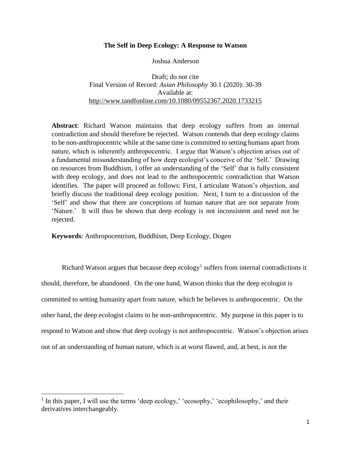### **The Self in Deep Ecology: A Response to Watson**

Joshua Anderson

Draft; do not cite Final Version of Record: *Asian Philosophy* 30.1 (2020): 30-39 Available at: <http://www.tandfonline.com/10.1080/09552367.2020.1733215>

**Abstract**: Richard Watson maintains that deep ecology suffers from an internal contradiction and should therefore be rejected. Watson contends that deep ecology claims to be non-anthropocentric while at the same time is committed to setting humans apart from nature, which is inherently anthropocentric. I argue that Watson's objection arises out of a fundamental misunderstanding of how deep ecologist's conceive of the 'Self.' Drawing on resources from Buddhism, I offer an understanding of the 'Self' that is fully consistent with deep ecology, and does not lead to the anthropocentric contradiction that Watson identifies. The paper will proceed as follows: First, I articulate Watson's objection, and briefly discuss the traditional deep ecology position. Next, I turn to a discussion of the 'Self' and show that there are conceptions of human nature that are not separate from 'Nature.' It will thus be shown that deep ecology is not inconsistent and need not be rejected.

**Keywords**: Anthropocentrism, Buddhism, Deep Ecology, Dogen

Richard Watson argues that because deep  $\mathbf{ecology}^1$  suffers from internal contradictions it should, therefore, be abandoned. On the one hand, Watson thinks that the deep ecologist is committed to setting humanity apart from nature, which he believes is anthropocentric. On the other hand, the deep ecologist claims to be non-anthropocentric. My purpose in this paper is to respond to Watson and show that deep ecology is not anthropocentric. Watson's objection arises out of an understanding of human nature, which is at worst flawed, and, at best, is not the

 $\overline{a}$ 

<sup>&</sup>lt;sup>1</sup> In this paper, I will use the terms 'deep ecology,' 'ecosophy,' 'ecophilosophy,' and their derivatives interchangeably.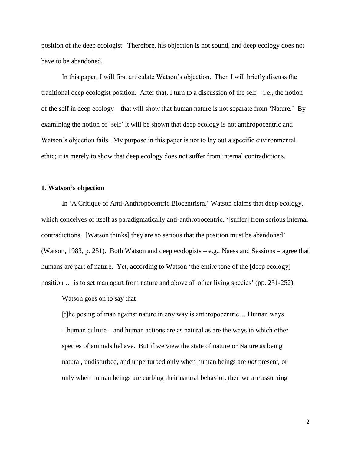position of the deep ecologist. Therefore, his objection is not sound, and deep ecology does not have to be abandoned.

In this paper, I will first articulate Watson's objection. Then I will briefly discuss the traditional deep ecologist position. After that, I turn to a discussion of the self – i.e., the notion of the self in deep ecology – that will show that human nature is not separate from 'Nature.' By examining the notion of 'self' it will be shown that deep ecology is not anthropocentric and Watson's objection fails. My purpose in this paper is not to lay out a specific environmental ethic; it is merely to show that deep ecology does not suffer from internal contradictions.

# **1. Watson's objection**

In 'A Critique of Anti-Anthropocentric Biocentrism,' Watson claims that deep ecology, which conceives of itself as paradigmatically anti-anthropocentric, '[suffer] from serious internal contradictions. [Watson thinks] they are so serious that the position must be abandoned' (Watson, 1983, p. 251). Both Watson and deep ecologists – e.g., Naess and Sessions – agree that humans are part of nature. Yet, according to Watson 'the entire tone of the [deep ecology] position … is to set man apart from nature and above all other living species' (pp. 251-252).

Watson goes on to say that

[t]he posing of man against nature in any way is anthropocentric… Human ways – human culture – and human actions are as natural as are the ways in which other species of animals behave. But if we view the state of nature or Nature as being natural, undisturbed, and unperturbed only when human beings are *not* present, or only when human beings are curbing their natural behavior, then we are assuming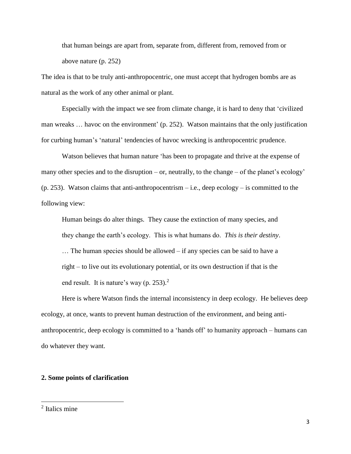that human beings are apart from, separate from, different from, removed from or above nature (p. 252)

The idea is that to be truly anti-anthropocentric, one must accept that hydrogen bombs are as natural as the work of any other animal or plant.

Especially with the impact we see from climate change, it is hard to deny that 'civilized man wreaks … havoc on the environment' (p. 252). Watson maintains that the only justification for curbing human's 'natural' tendencies of havoc wrecking is anthropocentric prudence.

Watson believes that human nature 'has been to propagate and thrive at the expense of many other species and to the disruption – or, neutrally, to the change – of the planet's ecology'  $(p. 253)$ . Watson claims that anti-anthropocentrism – i.e., deep ecology – is committed to the following view:

Human beings do alter things. They cause the extinction of many species, and they change the earth's ecology. This is what humans do. *This is their destiny*. … The human species should be allowed – if any species can be said to have a right – to live out its evolutionary potential, or its own destruction if that is the end result. It is nature's way (p. 253).<sup>2</sup>

Here is where Watson finds the internal inconsistency in deep ecology. He believes deep ecology, at once, wants to prevent human destruction of the environment, and being antianthropocentric, deep ecology is committed to a 'hands off' to humanity approach – humans can do whatever they want.

# **2. Some points of clarification**

 $\overline{\phantom{a}}$ 

<sup>2</sup> Italics mine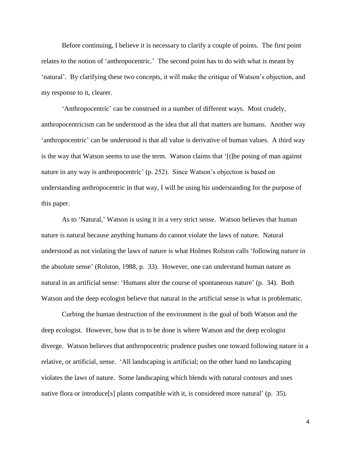Before continuing, I believe it is necessary to clarify a couple of points. The first point relates to the notion of 'anthropocentric.' The second point has to do with what is meant by 'natural'. By clarifying these two concepts, it will make the critique of Watson's objection, and my response to it, clearer.

'Anthropocentric' can be construed in a number of different ways. Most crudely, anthropocentricism can be understood as the idea that all that matters are humans. Another way 'anthropocentric' can be understood is that all value is derivative of human values. A third way is the way that Watson seems to use the term. Watson claims that '[t]he posing of man against nature in any way is anthropocentric' (p. 252). Since Watson's objection is based on understanding anthropocentric in that way, I will be using his understanding for the purpose of this paper.

As to 'Natural,' Watson is using it in a very strict sense. Watson believes that human nature is natural because anything humans do cannot violate the laws of nature. Natural understood as not violating the laws of nature is what Holmes Rolston calls 'following nature in the absolute sense' (Rolston, 1988, p. 33). However, one can understand human nature as natural in an artificial sense: 'Humans alter the course of spontaneous nature' (p. 34). Both Watson and the deep ecologist believe that natural in the artificial sense is what is problematic.

Curbing the human destruction of the environment is the goal of both Watson and the deep ecologist. However, how that is to be done is where Watson and the deep ecologist diverge. Watson believes that anthropocentric prudence pushes one toward following nature in a relative, or artificial, sense. 'All landscaping is artificial; on the other hand no landscaping violates the laws of nature. Some landscaping which blends with natural contours and uses native flora or introduce[s] plants compatible with it, is considered more natural' (p. 35).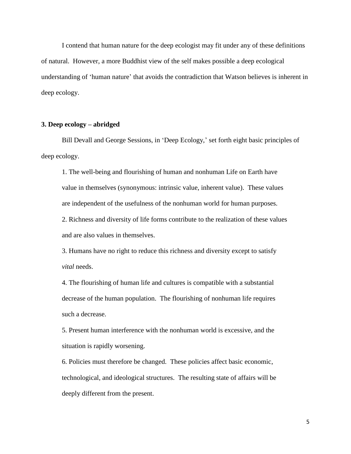I contend that human nature for the deep ecologist may fit under any of these definitions of natural. However, a more Buddhist view of the self makes possible a deep ecological understanding of 'human nature' that avoids the contradiction that Watson believes is inherent in deep ecology.

## **3. Deep ecology – abridged**

Bill Devall and George Sessions, in 'Deep Ecology,' set forth eight basic principles of deep ecology.

1. The well-being and flourishing of human and nonhuman Life on Earth have value in themselves (synonymous: intrinsic value, inherent value). These values are independent of the usefulness of the nonhuman world for human purposes. 2. Richness and diversity of life forms contribute to the realization of these values and are also values in themselves.

3. Humans have no right to reduce this richness and diversity except to satisfy *vital* needs.

4. The flourishing of human life and cultures is compatible with a substantial decrease of the human population. The flourishing of nonhuman life requires such a decrease.

5. Present human interference with the nonhuman world is excessive, and the situation is rapidly worsening.

6. Policies must therefore be changed. These policies affect basic economic, technological, and ideological structures. The resulting state of affairs will be deeply different from the present.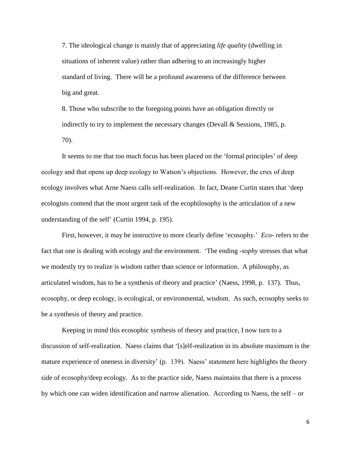7. The ideological change is mainly that of appreciating *life quality* (dwelling in situations of inherent value) rather than adhering to an increasingly higher standard of living. There will be a profound awareness of the difference between big and great.

8. Those who subscribe to the foregoing points have an obligation directly or indirectly to try to implement the necessary changes (Devall & Sessions, 1985, p. 70).

It seems to me that too much focus has been placed on the 'formal principles' of deep ecology and that opens up deep ecology to Watson's objections. However, the crux of deep ecology involves what Arne Naess calls self-realization. In fact, Deane Curtin states that 'deep ecologists contend that the most urgent task of the ecophilosophy is the articulation of a new understanding of the self' (Curtin 1994, p. 195).

First, however, it may be instructive to more clearly define 'ecosophy.' *Eco*- refers to the fact that one is dealing with ecology and the environment. 'The ending -*sophy* stresses that what we modestly try to realize is wisdom rather than science or information. A philosophy, as articulated wisdom, has to be a synthesis of theory and practice' (Naess, 1998, p. 137). Thus, ecosophy, or deep ecology, is ecological, or environmental, wisdom. As such, ecosophy seeks to be a synthesis of theory and practice.

Keeping in mind this ecosophic synthesis of theory and practice, I now turn to a discussion of self-realization. Naess claims that '[s]elf-realization in its absolute maximum is the mature experience of oneness in diversity' (p. 139). Naess' statement here highlights the theory side of ecosophy/deep ecology. As to the practice side, Naess maintains that there is a process by which one can widen identification and narrow alienation. According to Naess, the self – or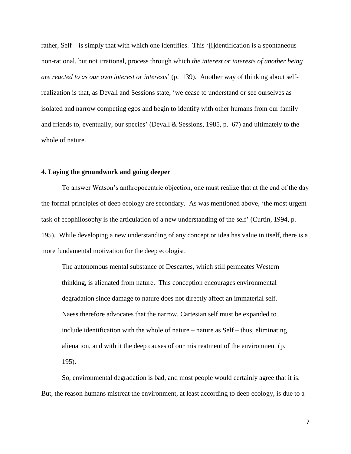rather, Self – is simply that with which one identifies. This '[i]dentification is a spontaneous non-rational, but not irrational, process through which *the interest or interests of another being are reacted to as our own interest or interests*' (p. 139). Another way of thinking about selfrealization is that, as Devall and Sessions state, 'we cease to understand or see ourselves as isolated and narrow competing egos and begin to identify with other humans from our family and friends to, eventually, our species' (Devall & Sessions, 1985, p. 67) and ultimately to the whole of nature.

### **4. Laying the groundwork and going deeper**

To answer Watson's anthropocentric objection, one must realize that at the end of the day the formal principles of deep ecology are secondary. As was mentioned above, 'the most urgent task of ecophilosophy is the articulation of a new understanding of the self' (Curtin, 1994, p. 195). While developing a new understanding of any concept or idea has value in itself, there is a more fundamental motivation for the deep ecologist.

The autonomous mental substance of Descartes, which still permeates Western thinking, is alienated from nature. This conception encourages environmental degradation since damage to nature does not directly affect an immaterial self. Naess therefore advocates that the narrow, Cartesian self must be expanded to include identification with the whole of nature – nature as Self – thus, eliminating alienation, and with it the deep causes of our mistreatment of the environment (p. 195).

So, environmental degradation is bad, and most people would certainly agree that it is. But, the reason humans mistreat the environment, at least according to deep ecology, is due to a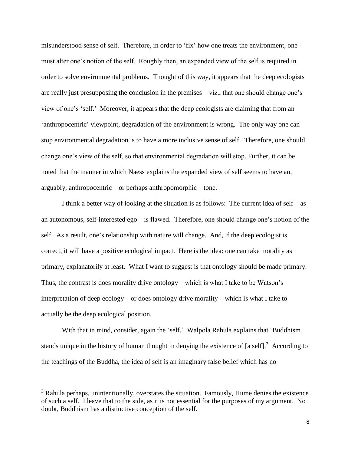misunderstood sense of self. Therefore, in order to 'fix' how one treats the environment, one must alter one's notion of the self. Roughly then, an expanded view of the self is required in order to solve environmental problems. Thought of this way, it appears that the deep ecologists are really just presupposing the conclusion in the premises – viz., that one should change one's view of one's 'self.' Moreover, it appears that the deep ecologists are claiming that from an 'anthropocentric' viewpoint, degradation of the environment is wrong. The only way one can stop environmental degradation is to have a more inclusive sense of self. Therefore, one should change one's view of the self, so that environmental degradation will stop. Further, it can be noted that the manner in which Naess explains the expanded view of self seems to have an, arguably, anthropocentric – or perhaps anthropomorphic – tone.

I think a better way of looking at the situation is as follows: The current idea of self – as an autonomous, self-interested ego – is flawed. Therefore, one should change one's notion of the self. As a result, one's relationship with nature will change. And, if the deep ecologist is correct, it will have a positive ecological impact. Here is the idea: one can take morality as primary, explanatorily at least. What I want to suggest is that ontology should be made primary. Thus, the contrast is does morality drive ontology – which is what I take to be Watson's interpretation of deep ecology – or does ontology drive morality – which is what I take to actually be the deep ecological position.

With that in mind, consider, again the 'self.' Walpola Rahula explains that 'Buddhism stands unique in the history of human thought in denying the existence of [a self].<sup>3</sup> According to the teachings of the Buddha, the idea of self is an imaginary false belief which has no

l

<sup>&</sup>lt;sup>3</sup> Rahula perhaps, unintentionally, overstates the situation. Famously, Hume denies the existence of such a self. I leave that to the side, as it is not essential for the purposes of my argument. No doubt, Buddhism has a distinctive conception of the self.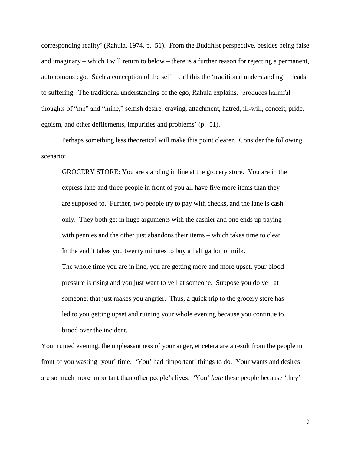corresponding reality' (Rahula, 1974, p. 51). From the Buddhist perspective, besides being false and imaginary – which I will return to below – there is a further reason for rejecting a permanent, autonomous ego. Such a conception of the self – call this the 'traditional understanding' – leads to suffering. The traditional understanding of the ego, Rahula explains, 'produces harmful thoughts of "me" and "mine," selfish desire, craving, attachment, hatred, ill-will, conceit, pride, egoism, and other defilements, impurities and problems' (p. 51).

Perhaps something less theoretical will make this point clearer. Consider the following scenario:

GROCERY STORE: You are standing in line at the grocery store. You are in the express lane and three people in front of you all have five more items than they are supposed to. Further, two people try to pay with checks, and the lane is cash only. They both get in huge arguments with the cashier and one ends up paying with pennies and the other just abandons their items – which takes time to clear. In the end it takes you twenty minutes to buy a half gallon of milk.

The whole time you are in line, you are getting more and more upset, your blood pressure is rising and you just want to yell at someone. Suppose you do yell at someone; that just makes you angrier. Thus, a quick trip to the grocery store has led to you getting upset and ruining your whole evening because you continue to brood over the incident.

Your ruined evening, the unpleasantness of your anger, et cetera are a result from the people in front of you wasting 'your' time. 'You' had 'important' things to do. Your wants and desires are so much more important than other people's lives. 'You' *hate* these people because 'they'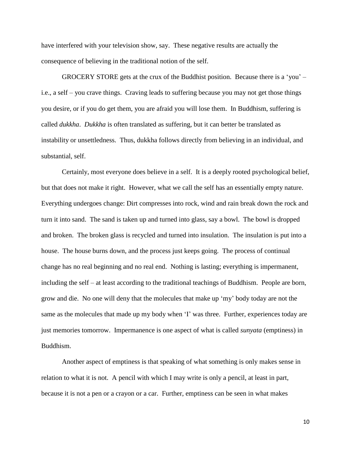have interfered with your television show, say. These negative results are actually the consequence of believing in the traditional notion of the self.

GROCERY STORE gets at the crux of the Buddhist position. Because there is a 'you' – i.e., a self – you crave things. Craving leads to suffering because you may not get those things you desire, or if you do get them, you are afraid you will lose them. In Buddhism, suffering is called *dukkha*. *Dukkha* is often translated as suffering, but it can better be translated as instability or unsettledness. Thus, dukkha follows directly from believing in an individual, and substantial, self.

Certainly, most everyone does believe in a self. It is a deeply rooted psychological belief, but that does not make it right. However, what we call the self has an essentially empty nature. Everything undergoes change: Dirt compresses into rock, wind and rain break down the rock and turn it into sand. The sand is taken up and turned into glass, say a bowl. The bowl is dropped and broken. The broken glass is recycled and turned into insulation. The insulation is put into a house. The house burns down, and the process just keeps going. The process of continual change has no real beginning and no real end. Nothing is lasting; everything is impermanent, including the self – at least according to the traditional teachings of Buddhism. People are born, grow and die. No one will deny that the molecules that make up 'my' body today are not the same as the molecules that made up my body when 'I' was three. Further, experiences today are just memories tomorrow. Impermanence is one aspect of what is called *sunyata* (emptiness) in Buddhism.

Another aspect of emptiness is that speaking of what something is only makes sense in relation to what it is not. A pencil with which I may write is only a pencil, at least in part, because it is not a pen or a crayon or a car. Further, emptiness can be seen in what makes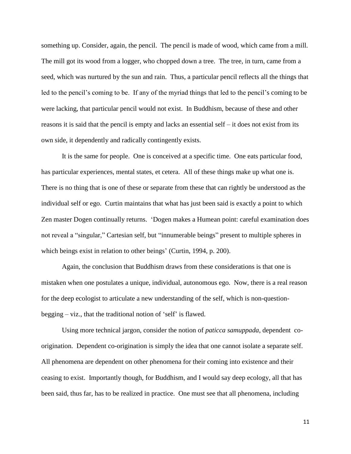something up. Consider, again, the pencil. The pencil is made of wood, which came from a mill. The mill got its wood from a logger, who chopped down a tree. The tree, in turn, came from a seed, which was nurtured by the sun and rain. Thus, a particular pencil reflects all the things that led to the pencil's coming to be. If any of the myriad things that led to the pencil's coming to be were lacking, that particular pencil would not exist. In Buddhism, because of these and other reasons it is said that the pencil is empty and lacks an essential self – it does not exist from its own side, it dependently and radically contingently exists.

It is the same for people. One is conceived at a specific time. One eats particular food, has particular experiences, mental states, et cetera. All of these things make up what one is. There is no thing that is one of these or separate from these that can rightly be understood as the individual self or ego. Curtin maintains that what has just been said is exactly a point to which Zen master Dogen continually returns. 'Dogen makes a Humean point: careful examination does not reveal a "singular," Cartesian self, but "innumerable beings" present to multiple spheres in which beings exist in relation to other beings' (Curtin, 1994, p. 200).

Again, the conclusion that Buddhism draws from these considerations is that one is mistaken when one postulates a unique, individual, autonomous ego. Now, there is a real reason for the deep ecologist to articulate a new understanding of the self, which is non-questionbegging – viz., that the traditional notion of 'self' is flawed.

Using more technical jargon, consider the notion of *paticca samuppada*, dependent coorigination. Dependent co-origination is simply the idea that one cannot isolate a separate self. All phenomena are dependent on other phenomena for their coming into existence and their ceasing to exist. Importantly though, for Buddhism, and I would say deep ecology, all that has been said, thus far, has to be realized in practice. One must see that all phenomena, including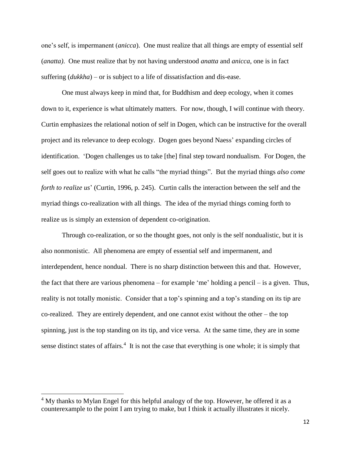one's self, is impermanent (*anicca*). One must realize that all things are empty of essential self (*anatta)*. One must realize that by not having understood *anatta* and *anicca*, one is in fact suffering (*dukkha*) – or is subject to a life of dissatisfaction and dis-ease.

One must always keep in mind that, for Buddhism and deep ecology, when it comes down to it, experience is what ultimately matters. For now, though, I will continue with theory. Curtin emphasizes the relational notion of self in Dogen, which can be instructive for the overall project and its relevance to deep ecology. Dogen goes beyond Naess' expanding circles of identification. 'Dogen challenges us to take [the] final step toward nondualism. For Dogen, the self goes out to realize with what he calls "the myriad things". But the myriad things *also come forth to realize us*' (Curtin, 1996, p. 245). Curtin calls the interaction between the self and the myriad things co-realization with all things. The idea of the myriad things coming forth to realize us is simply an extension of dependent co-origination.

Through co-realization, or so the thought goes, not only is the self nondualistic, but it is also nonmonistic. All phenomena are empty of essential self and impermanent, and interdependent, hence nondual. There is no sharp distinction between this and that. However, the fact that there are various phenomena – for example 'me' holding a pencil – is a given. Thus, reality is not totally monistic. Consider that a top's spinning and a top's standing on its tip are co-realized. They are entirely dependent, and one cannot exist without the other – the top spinning, just is the top standing on its tip, and vice versa. At the same time, they are in some sense distinct states of affairs.<sup>4</sup> It is not the case that everything is one whole; it is simply that

 $\overline{a}$ 

 $4$  My thanks to Mylan Engel for this helpful analogy of the top. However, he offered it as a counterexample to the point I am trying to make, but I think it actually illustrates it nicely.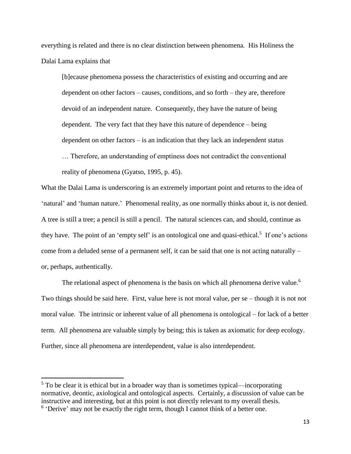everything is related and there is no clear distinction between phenomena. His Holiness the Dalai Lama explains that

[b]ecause phenomena possess the characteristics of existing and occurring and are dependent on other factors – causes, conditions, and so forth – they are, therefore devoid of an independent nature. Consequently, they have the nature of being dependent. The very fact that they have this nature of dependence – being dependent on other factors – is an indication that they lack an independent status … Therefore, an understanding of emptiness does not contradict the conventional reality of phenomena (Gyatso, 1995, p. 45).

What the Dalai Lama is underscoring is an extremely important point and returns to the idea of 'natural' and 'human nature.' Phenomenal reality, as one normally thinks about it, is not denied. A tree is still a tree; a pencil is still a pencil. The natural sciences can, and should, continue as they have. The point of an 'empty self' is an ontological one and quasi-ethical.<sup>5</sup> If one's actions come from a deluded sense of a permanent self, it can be said that one is not acting naturally – or, perhaps, authentically.

The relational aspect of phenomena is the basis on which all phenomena derive value.<sup>6</sup> Two things should be said here. First, value here is not moral value, per se – though it is not not moral value. The intrinsic or inherent value of all phenomena is ontological – for lack of a better term. All phenomena are valuable simply by being; this is taken as axiomatic for deep ecology. Further, since all phenomena are interdependent, value is also interdependent.

 $\overline{\phantom{a}}$ 

 $5$  To be clear it is ethical but in a broader way than is sometimes typical—incorporating normative, deontic, axiological and ontological aspects. Certainly, a discussion of value can be instructive and interesting, but at this point is not directly relevant to my overall thesis.  $6$  'Derive' may not be exactly the right term, though I cannot think of a better one.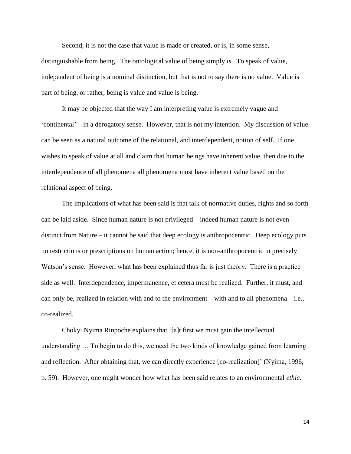Second, it is not the case that value is made or created, or is, in some sense, distinguishable from being. The ontological value of being simply *is*. To speak of value, independent of being is a nominal distinction, but that is not to say there is no value. Value is part of being, or rather, being is value and value is being.

It may be objected that the way I am interpreting value is extremely vague and 'continental' – in a derogatory sense. However, that is not my intention. My discussion of value can be seen as a natural outcome of the relational, and interdependent, notion of self. If one wishes to speak of value at all and claim that human beings have inherent value, then due to the interdependence of all phenomena all phenomena must have inherent value based on the relational aspect of being.

The implications of what has been said is that talk of normative duties, rights and so forth can be laid aside. Since human nature is not privileged – indeed human nature is not even distinct from Nature – it cannot be said that deep ecology is anthropocentric. Deep ecology puts no restrictions or prescriptions on human action; hence, it is non-anthropocentric in precisely Watson's sense. However, what has been explained thus far is just theory. There is a practice side as well. Interdependence, impermanence, et cetera must be realized. Further, it must, and can only be, realized in relation with and to the environment – with and to all phenomena – i.e., co-realized.

Chokyi Nyima Rinpoche explains that '[a]t first we must gain the intellectual understanding … To begin to do this, we need the two kinds of knowledge gained from learning and reflection. After obtaining that, we can directly experience [co-realization]' (Nyima, 1996, p. 59). However, one might wonder how what has been said relates to an environmental *ethic*.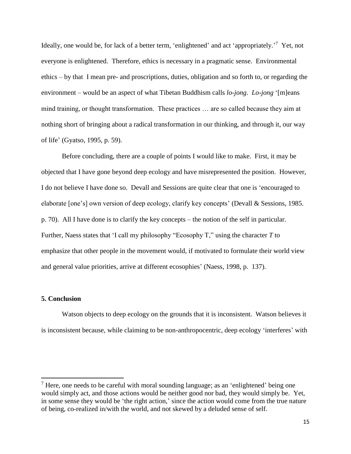Ideally, one would be, for lack of a better term, 'enlightened' and act 'appropriately.'<sup>7</sup> Yet, not everyone is enlightened. Therefore, ethics is necessary in a pragmatic sense. Environmental ethics – by that I mean pre- and proscriptions, duties, obligation and so forth to, or regarding the environment – would be an aspect of what Tibetan Buddhism calls *lo-jong*. *Lo-jong* '[m]eans mind training, or thought transformation. These practices … are so called because they aim at nothing short of bringing about a radical transformation in our thinking, and through it, our way of life' (Gyatso, 1995, p. 59).

Before concluding, there are a couple of points I would like to make. First, it may be objected that I have gone beyond deep ecology and have misrepresented the position. However, I do not believe I have done so. Devall and Sessions are quite clear that one is 'encouraged to elaborate [one's] own version of deep ecology, clarify key concepts' (Devall & Sessions, 1985. p. 70). All I have done is to clarify the key concepts – the notion of the self in particular. Further, Naess states that 'I call my philosophy "Ecosophy T," using the character *T* to emphasize that other people in the movement would, if motivated to formulate their world view and general value priorities, arrive at different ecosophies' (Naess, 1998, p. 137).

#### **5. Conclusion**

 $\overline{\phantom{a}}$ 

Watson objects to deep ecology on the grounds that it is inconsistent. Watson believes it is inconsistent because, while claiming to be non-anthropocentric, deep ecology 'interferes' with

 $<sup>7</sup>$  Here, one needs to be careful with moral sounding language; as an 'enlightened' being one</sup> would simply act, and those actions would be neither good nor bad, they would simply be. Yet, in some sense they would be 'the right action,' since the action would come from the true nature of being, co-realized in/with the world, and not skewed by a deluded sense of self.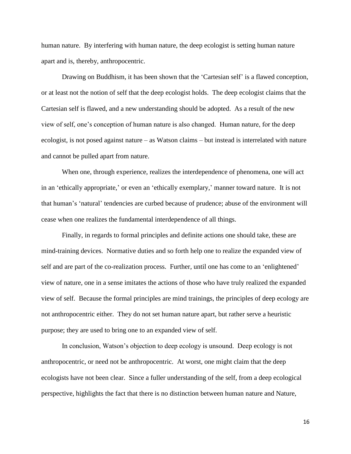human nature. By interfering with human nature, the deep ecologist is setting human nature apart and is, thereby, anthropocentric.

Drawing on Buddhism, it has been shown that the 'Cartesian self' is a flawed conception, or at least not the notion of self that the deep ecologist holds. The deep ecologist claims that the Cartesian self is flawed, and a new understanding should be adopted. As a result of the new view of self, one's conception of human nature is also changed. Human nature, for the deep ecologist, is not posed against nature – as Watson claims – but instead is interrelated with nature and cannot be pulled apart from nature.

When one, through experience, realizes the interdependence of phenomena, one will act in an 'ethically appropriate,' or even an 'ethically exemplary,' manner toward nature. It is not that human's 'natural' tendencies are curbed because of prudence; abuse of the environment will cease when one realizes the fundamental interdependence of all things.

Finally, in regards to formal principles and definite actions one should take, these are mind-training devices. Normative duties and so forth help one to realize the expanded view of self and are part of the co-realization process. Further, until one has come to an 'enlightened' view of nature, one in a sense imitates the actions of those who have truly realized the expanded view of self. Because the formal principles are mind trainings, the principles of deep ecology are not anthropocentric either. They do not set human nature apart, but rather serve a heuristic purpose; they are used to bring one to an expanded view of self.

In conclusion, Watson's objection to deep ecology is unsound. Deep ecology is not anthropocentric, or need not be anthropocentric. At worst, one might claim that the deep ecologists have not been clear. Since a fuller understanding of the self, from a deep ecological perspective, highlights the fact that there is no distinction between human nature and Nature,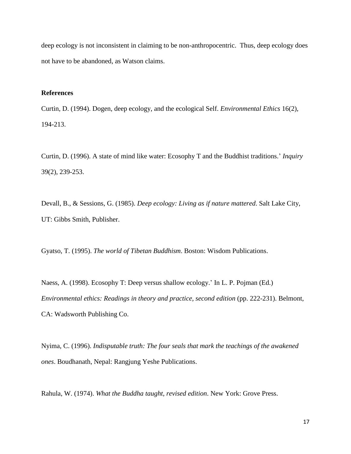deep ecology is not inconsistent in claiming to be non-anthropocentric. Thus, deep ecology does not have to be abandoned, as Watson claims.

# **References**

Curtin, D. (1994). Dogen, deep ecology, and the ecological Self. *Environmental Ethics* 16(2), 194-213.

Curtin, D. (1996). A state of mind like water: Ecosophy T and the Buddhist traditions.' *Inquiry*  39(2), 239-253.

Devall, B., & Sessions, G. (1985). *Deep ecology: Living as if nature mattered*. Salt Lake City, UT: Gibbs Smith, Publisher.

Gyatso, T. (1995). *The world of Tibetan Buddhism*. Boston: Wisdom Publications.

Naess, A. (1998). Ecosophy T: Deep versus shallow ecology.' In L. P. Pojman (Ed.) *Environmental ethics: Readings in theory and practice, second edition* (pp. 222-231). Belmont, CA: Wadsworth Publishing Co.

Nyima, C. (1996). *Indisputable truth: The four seals that mark the teachings of the awakened ones*. Boudhanath, Nepal: Rangjung Yeshe Publications.

Rahula, W. (1974). *What the Buddha taught, revised edition*. New York: Grove Press.